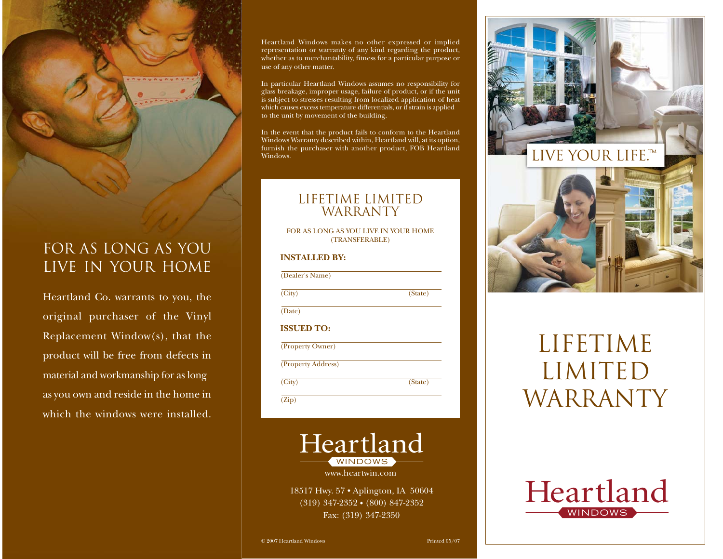## For As Long As You Live in Your Home

Heartland Co. warrants to you, the original purchaser of the Vinyl Replacement Window(s), that the product will be free from defects in material and workmanship for as long as you own and reside in the home in which the windows were installed.

Heartland Windows makes no other expressed or implied representation or warranty of any kind regarding the product, whether as to merchantability, fitness for a particular purpose or use of any other matter.

In particular Heartland Windows assumes no responsibility for glass breakage, improper usage, failure of product, or if the unit is subject to stresses resulting from localized application of heat which causes excess temperature differentials, or if strain is applied to the unit by movement of the building.

In the event that the product fails to conform to the Heartland Windows Warranty described within, Heartland will, at its option, furnish the purchaser with another product, FOB Heartland Windows.

## lifetime limitedWARRANTY

FOR AS LONG AS YOU LIVE IN YOUR HOME(TRANSFERABLE)

## **INSTALLED BY:**

| (Dealer's Name)    |         |
|--------------------|---------|
| (City)             | (State) |
| (Date)             |         |
| <b>ISSUED TO:</b>  |         |
| (Property Owner)   |         |
| (Property Address) |         |
| (City)             | (State) |
| (Zip)              |         |



www.heartwin.com

18517 Hwy. 57 • Aplington, IA 50604  $(319)$  347-2352 •  $(800)$  847-2352 Fax: (319) 347-2350



# lifetimelimitedWARRANTY